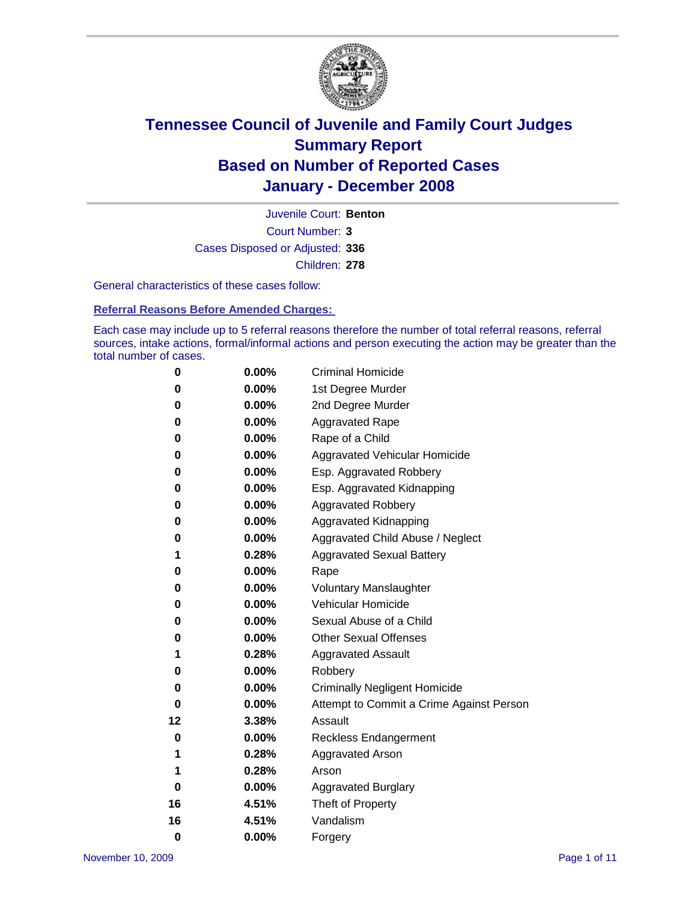

Court Number: **3** Juvenile Court: **Benton** Cases Disposed or Adjusted: **336** Children: **278**

General characteristics of these cases follow:

**Referral Reasons Before Amended Charges:** 

Each case may include up to 5 referral reasons therefore the number of total referral reasons, referral sources, intake actions, formal/informal actions and person executing the action may be greater than the total number of cases.

| 0  | 0.00%    | <b>Criminal Homicide</b>                 |
|----|----------|------------------------------------------|
| 0  | 0.00%    | 1st Degree Murder                        |
| 0  | 0.00%    | 2nd Degree Murder                        |
| 0  | 0.00%    | <b>Aggravated Rape</b>                   |
| 0  | 0.00%    | Rape of a Child                          |
| 0  | 0.00%    | Aggravated Vehicular Homicide            |
| 0  | 0.00%    | Esp. Aggravated Robbery                  |
| 0  | 0.00%    | Esp. Aggravated Kidnapping               |
| 0  | 0.00%    | <b>Aggravated Robbery</b>                |
| 0  | 0.00%    | Aggravated Kidnapping                    |
| 0  | 0.00%    | Aggravated Child Abuse / Neglect         |
| 1  | 0.28%    | <b>Aggravated Sexual Battery</b>         |
| 0  | 0.00%    | Rape                                     |
| 0  | 0.00%    | <b>Voluntary Manslaughter</b>            |
| 0  | 0.00%    | Vehicular Homicide                       |
| 0  | $0.00\%$ | Sexual Abuse of a Child                  |
| 0  | 0.00%    | <b>Other Sexual Offenses</b>             |
| 1  | 0.28%    | <b>Aggravated Assault</b>                |
| 0  | 0.00%    | Robbery                                  |
| 0  | $0.00\%$ | <b>Criminally Negligent Homicide</b>     |
| 0  | 0.00%    | Attempt to Commit a Crime Against Person |
| 12 | 3.38%    | Assault                                  |
| 0  | 0.00%    | <b>Reckless Endangerment</b>             |
| 1  | 0.28%    | <b>Aggravated Arson</b>                  |
| 1  | 0.28%    | Arson                                    |
| 0  | 0.00%    | <b>Aggravated Burglary</b>               |
| 16 | 4.51%    | Theft of Property                        |
| 16 | 4.51%    | Vandalism                                |
| 0  | 0.00%    | Forgery                                  |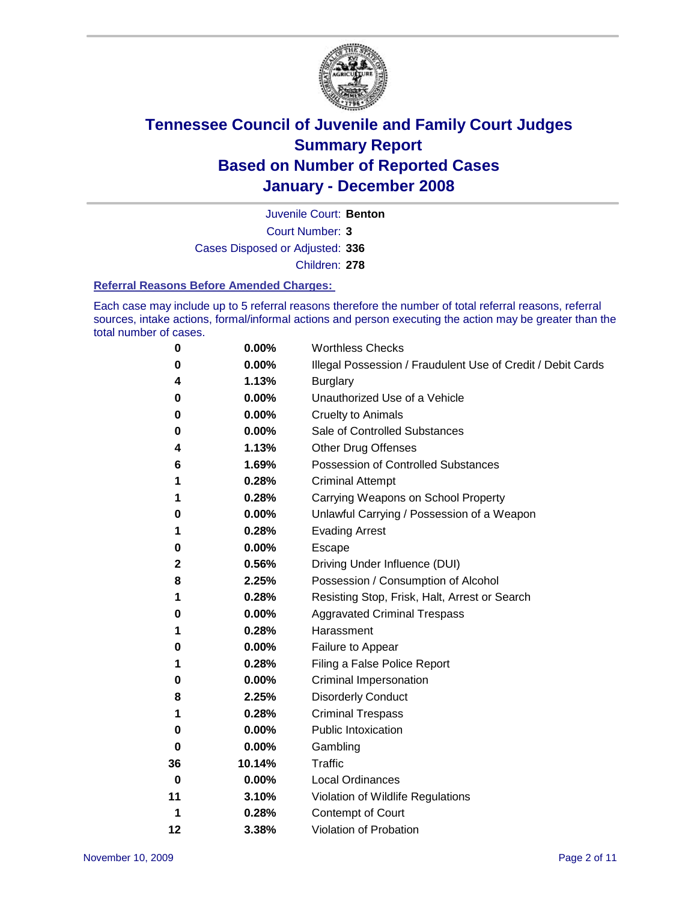

Court Number: **3** Juvenile Court: **Benton** Cases Disposed or Adjusted: **336** Children: **278**

#### **Referral Reasons Before Amended Charges:**

Each case may include up to 5 referral reasons therefore the number of total referral reasons, referral sources, intake actions, formal/informal actions and person executing the action may be greater than the total number of cases.

| 0  | 0.00%    | <b>Worthless Checks</b>                                     |
|----|----------|-------------------------------------------------------------|
| 0  | 0.00%    | Illegal Possession / Fraudulent Use of Credit / Debit Cards |
| 4  | 1.13%    | <b>Burglary</b>                                             |
| 0  | $0.00\%$ | Unauthorized Use of a Vehicle                               |
| 0  | 0.00%    | <b>Cruelty to Animals</b>                                   |
| 0  | $0.00\%$ | Sale of Controlled Substances                               |
| 4  | 1.13%    | <b>Other Drug Offenses</b>                                  |
| 6  | 1.69%    | Possession of Controlled Substances                         |
| 1  | 0.28%    | <b>Criminal Attempt</b>                                     |
| 1  | 0.28%    | Carrying Weapons on School Property                         |
| 0  | 0.00%    | Unlawful Carrying / Possession of a Weapon                  |
| 1  | 0.28%    | <b>Evading Arrest</b>                                       |
| 0  | $0.00\%$ | Escape                                                      |
| 2  | 0.56%    | Driving Under Influence (DUI)                               |
| 8  | 2.25%    | Possession / Consumption of Alcohol                         |
| 1  | 0.28%    | Resisting Stop, Frisk, Halt, Arrest or Search               |
| 0  | $0.00\%$ | <b>Aggravated Criminal Trespass</b>                         |
| 1  | 0.28%    | Harassment                                                  |
| 0  | 0.00%    | Failure to Appear                                           |
| 1  | 0.28%    | Filing a False Police Report                                |
| 0  | $0.00\%$ | Criminal Impersonation                                      |
| 8  | 2.25%    | <b>Disorderly Conduct</b>                                   |
| 1  | 0.28%    | <b>Criminal Trespass</b>                                    |
| 0  | 0.00%    | <b>Public Intoxication</b>                                  |
| 0  | $0.00\%$ | Gambling                                                    |
| 36 | 10.14%   | <b>Traffic</b>                                              |
| 0  | $0.00\%$ | <b>Local Ordinances</b>                                     |
| 11 | 3.10%    | Violation of Wildlife Regulations                           |
| 1  | 0.28%    | Contempt of Court                                           |
| 12 | 3.38%    | Violation of Probation                                      |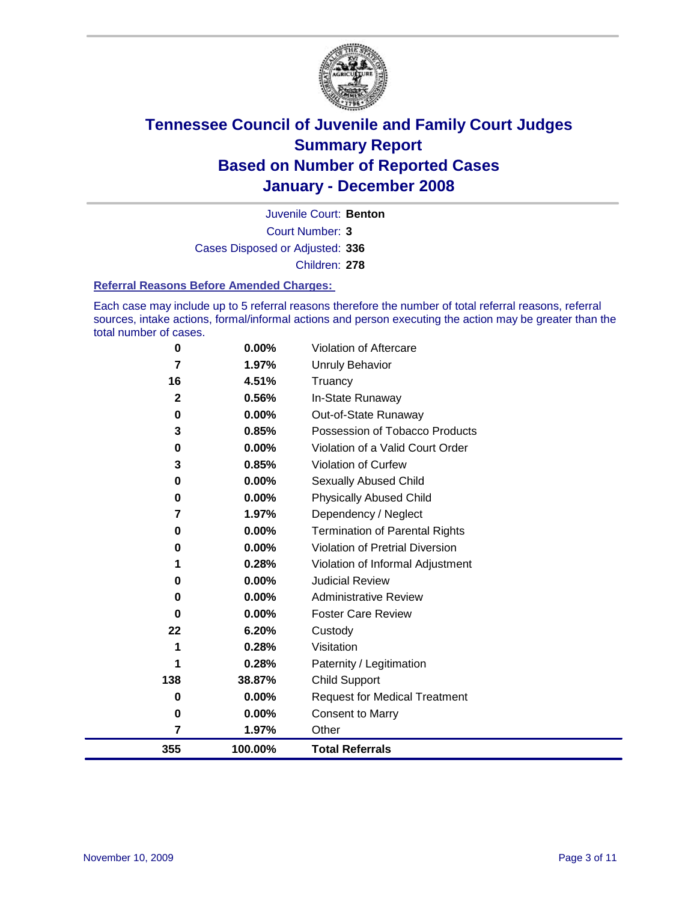

Court Number: **3** Juvenile Court: **Benton** Cases Disposed or Adjusted: **336** Children: **278**

#### **Referral Reasons Before Amended Charges:**

Each case may include up to 5 referral reasons therefore the number of total referral reasons, referral sources, intake actions, formal/informal actions and person executing the action may be greater than the total number of cases.

| 0           | 0.00%    | Violation of Aftercare                 |
|-------------|----------|----------------------------------------|
| 7           | 1.97%    | <b>Unruly Behavior</b>                 |
| 16          | 4.51%    | Truancy                                |
| $\mathbf 2$ | 0.56%    | In-State Runaway                       |
| $\bf{0}$    | 0.00%    | Out-of-State Runaway                   |
| 3           | 0.85%    | Possession of Tobacco Products         |
| 0           | 0.00%    | Violation of a Valid Court Order       |
| 3           | 0.85%    | Violation of Curfew                    |
| 0           | $0.00\%$ | Sexually Abused Child                  |
| 0           | $0.00\%$ | <b>Physically Abused Child</b>         |
| 7           | 1.97%    | Dependency / Neglect                   |
| 0           | $0.00\%$ | <b>Termination of Parental Rights</b>  |
| 0           | $0.00\%$ | <b>Violation of Pretrial Diversion</b> |
|             | 0.28%    | Violation of Informal Adjustment       |
| 0           | 0.00%    | <b>Judicial Review</b>                 |
| 0           | $0.00\%$ | <b>Administrative Review</b>           |
| $\bf{0}$    | $0.00\%$ | <b>Foster Care Review</b>              |
| 22          | 6.20%    | Custody                                |
|             | 0.28%    | Visitation                             |
|             | 0.28%    | Paternity / Legitimation               |
| 138         | 38.87%   | <b>Child Support</b>                   |
| 0           | 0.00%    | <b>Request for Medical Treatment</b>   |
| 0           | 0.00%    | <b>Consent to Marry</b>                |
| 7           | 1.97%    | Other                                  |
| 355         | 100.00%  | <b>Total Referrals</b>                 |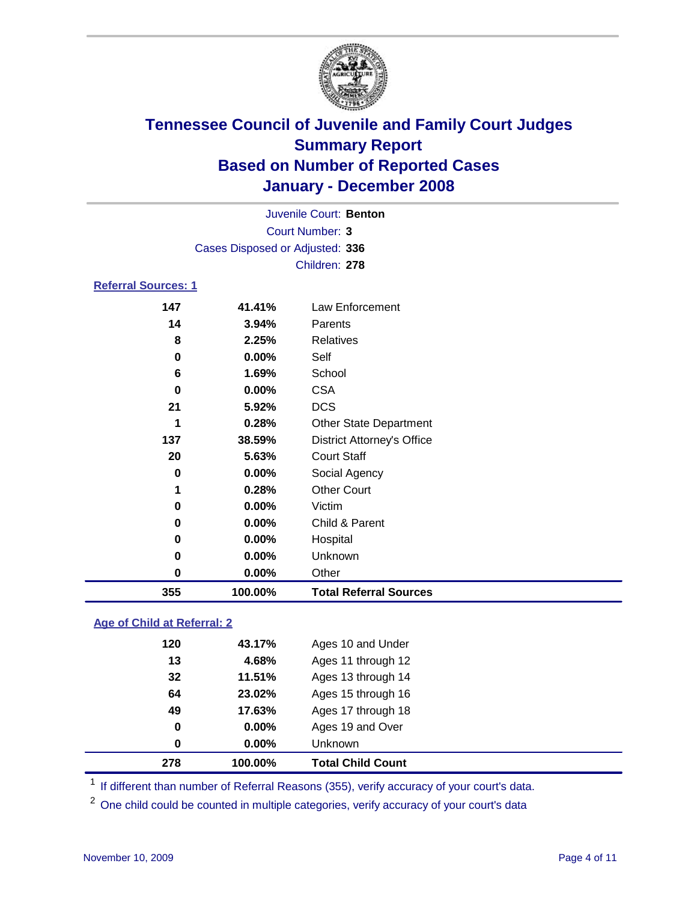

| Juvenile Court: Benton          |  |
|---------------------------------|--|
| Court Number: 3                 |  |
| Cases Disposed or Adjusted: 336 |  |
| Children: 278                   |  |

### **Referral Sources: 1**

| 355         | 100.00% | <b>Total Referral Sources</b>     |
|-------------|---------|-----------------------------------|
| 0           | 0.00%   | Other                             |
| 0           | 0.00%   | Unknown                           |
| 0           | 0.00%   | Hospital                          |
| 0           | 0.00%   | Child & Parent                    |
| $\mathbf 0$ | 0.00%   | Victim                            |
| 1           | 0.28%   | <b>Other Court</b>                |
| $\bf{0}$    | 0.00%   | Social Agency                     |
| 20          | 5.63%   | <b>Court Staff</b>                |
| 137         | 38.59%  | <b>District Attorney's Office</b> |
|             | 0.28%   | <b>Other State Department</b>     |
| 21          | 5.92%   | <b>DCS</b>                        |
| $\bf{0}$    | 0.00%   | <b>CSA</b>                        |
| 6           | 1.69%   | School                            |
| 0           | 0.00%   | Self                              |
| 8           | 2.25%   | Relatives                         |
| 14          | 3.94%   | Parents                           |
| 147         | 41.41%  | Law Enforcement                   |

### **Age of Child at Referral: 2**

| 0<br>0 | $0.00\%$<br>0.00% | Ages 19 and Over<br><b>Unknown</b> |
|--------|-------------------|------------------------------------|
|        |                   |                                    |
|        |                   |                                    |
| 49     | 17.63%            | Ages 17 through 18                 |
| 64     | 23.02%            | Ages 15 through 16                 |
| 32     | 11.51%            | Ages 13 through 14                 |
| 13     | 4.68%             | Ages 11 through 12                 |
| 120    | 43.17%            | Ages 10 and Under                  |
|        |                   |                                    |

<sup>1</sup> If different than number of Referral Reasons (355), verify accuracy of your court's data.

One child could be counted in multiple categories, verify accuracy of your court's data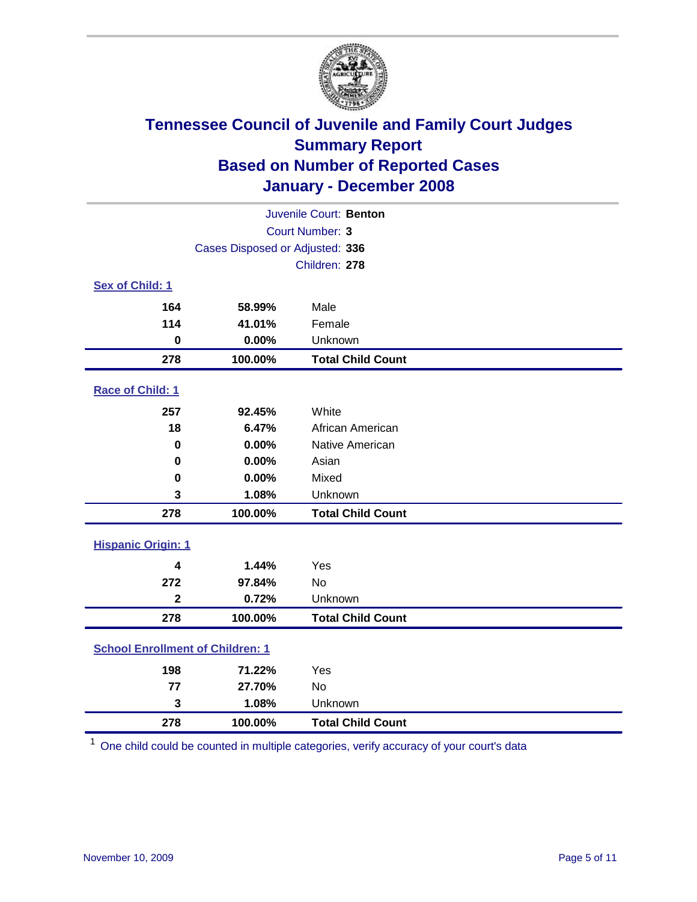

|                                         |                                 | Juvenile Court: Benton   |
|-----------------------------------------|---------------------------------|--------------------------|
|                                         |                                 | Court Number: 3          |
|                                         | Cases Disposed or Adjusted: 336 |                          |
|                                         |                                 | Children: 278            |
| Sex of Child: 1                         |                                 |                          |
| 164                                     | 58.99%                          | Male                     |
| 114                                     | 41.01%                          | Female                   |
| $\bf{0}$                                | 0.00%                           | Unknown                  |
| 278                                     | 100.00%                         | <b>Total Child Count</b> |
| Race of Child: 1                        |                                 |                          |
| 257                                     | 92.45%                          | White                    |
| 18                                      | 6.47%                           | African American         |
| $\mathbf 0$                             | 0.00%                           | Native American          |
| 0                                       | 0.00%                           | Asian                    |
| 0                                       | 0.00%                           | Mixed                    |
| 3                                       | 1.08%                           | Unknown                  |
| 278                                     | 100.00%                         | <b>Total Child Count</b> |
| <b>Hispanic Origin: 1</b>               |                                 |                          |
| 4                                       | 1.44%                           | Yes                      |
| 272                                     | 97.84%                          | <b>No</b>                |
| $\overline{\mathbf{2}}$                 | 0.72%                           | Unknown                  |
| 278                                     | 100.00%                         | <b>Total Child Count</b> |
| <b>School Enrollment of Children: 1</b> |                                 |                          |
| 198                                     | 71.22%                          | Yes                      |
| 77                                      | 27.70%                          | No                       |
| 3                                       | 1.08%                           | Unknown                  |
| 278                                     | 100.00%                         | <b>Total Child Count</b> |

One child could be counted in multiple categories, verify accuracy of your court's data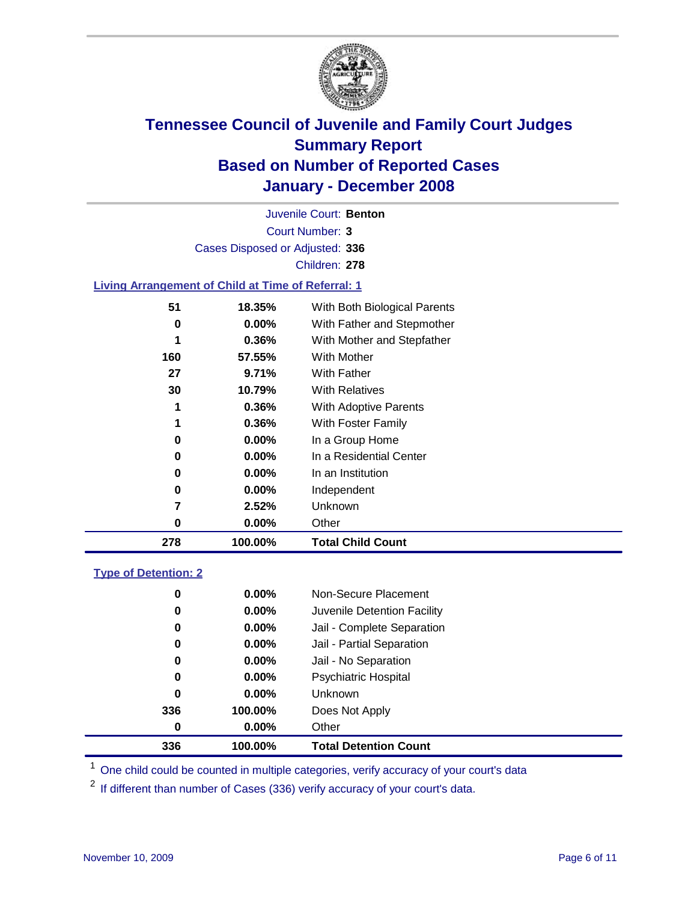

Court Number: **3** Juvenile Court: **Benton** Cases Disposed or Adjusted: **336** Children: **278**

#### **Living Arrangement of Child at Time of Referral: 1**

| 278 | 100.00%  | <b>Total Child Count</b>     |
|-----|----------|------------------------------|
| 0   | 0.00%    | Other                        |
| 7   | 2.52%    | Unknown                      |
| 0   | $0.00\%$ | Independent                  |
| 0   | $0.00\%$ | In an Institution            |
| 0   | $0.00\%$ | In a Residential Center      |
| 0   | $0.00\%$ | In a Group Home              |
| 1   | 0.36%    | With Foster Family           |
| 1   | 0.36%    | <b>With Adoptive Parents</b> |
| 30  | 10.79%   | <b>With Relatives</b>        |
| 27  | 9.71%    | With Father                  |
| 160 | 57.55%   | With Mother                  |
| 1   | 0.36%    | With Mother and Stepfather   |
| 0   | $0.00\%$ | With Father and Stepmother   |
| 51  | 18.35%   | With Both Biological Parents |
|     |          |                              |

#### **Type of Detention: 2**

| 336 | 100.00%  | <b>Total Detention Count</b> |  |
|-----|----------|------------------------------|--|
| 0   | $0.00\%$ | Other                        |  |
| 336 | 100.00%  | Does Not Apply               |  |
| 0   | $0.00\%$ | <b>Unknown</b>               |  |
| 0   | $0.00\%$ | <b>Psychiatric Hospital</b>  |  |
| 0   | 0.00%    | Jail - No Separation         |  |
| 0   | $0.00\%$ | Jail - Partial Separation    |  |
| 0   | $0.00\%$ | Jail - Complete Separation   |  |
| 0   | 0.00%    | Juvenile Detention Facility  |  |
| 0   | $0.00\%$ | Non-Secure Placement         |  |
|     |          |                              |  |

<sup>1</sup> One child could be counted in multiple categories, verify accuracy of your court's data

<sup>2</sup> If different than number of Cases (336) verify accuracy of your court's data.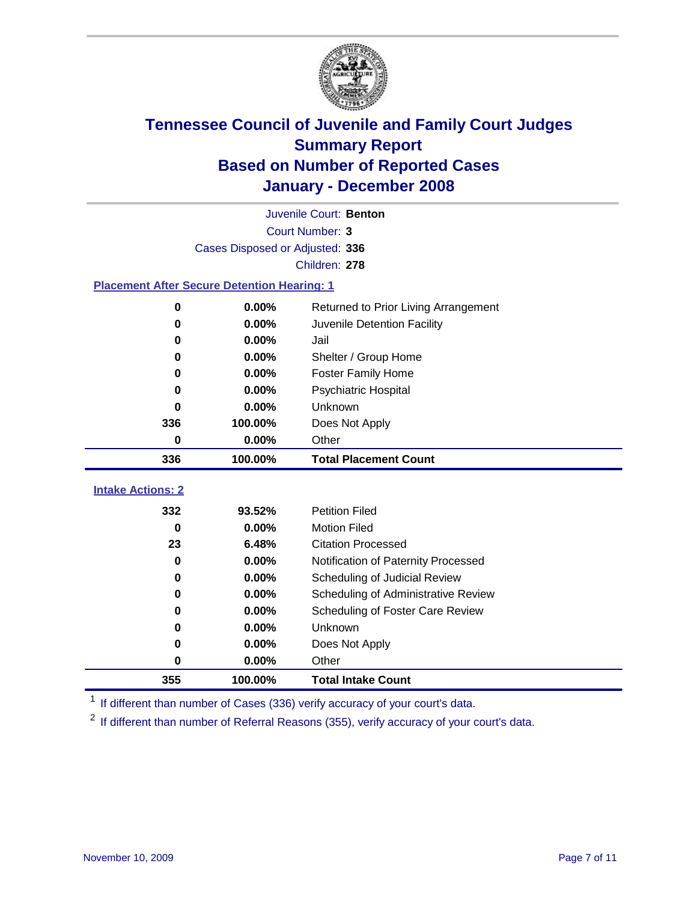

|                                                    |                                 | Juvenile Court: Benton               |
|----------------------------------------------------|---------------------------------|--------------------------------------|
|                                                    |                                 | Court Number: 3                      |
|                                                    | Cases Disposed or Adjusted: 336 |                                      |
|                                                    |                                 | Children: 278                        |
| <b>Placement After Secure Detention Hearing: 1</b> |                                 |                                      |
| 0                                                  | 0.00%                           | Returned to Prior Living Arrangement |
| 0                                                  | 0.00%                           | Juvenile Detention Facility          |
| 0                                                  | 0.00%                           | Jail                                 |
| 0                                                  | 0.00%                           | Shelter / Group Home                 |
| 0                                                  | 0.00%                           | <b>Foster Family Home</b>            |
| 0                                                  | 0.00%                           | Psychiatric Hospital                 |
| 0                                                  | 0.00%                           | Unknown                              |
| 336                                                | 100.00%                         | Does Not Apply                       |
| 0                                                  | 0.00%                           | Other                                |
|                                                    |                                 |                                      |
| 336                                                | 100.00%                         | <b>Total Placement Count</b>         |
| <b>Intake Actions: 2</b>                           |                                 |                                      |
| 332                                                | 93.52%                          | <b>Petition Filed</b>                |
| 0                                                  | 0.00%                           | <b>Motion Filed</b>                  |
| 23                                                 | 6.48%                           | <b>Citation Processed</b>            |
| 0                                                  | 0.00%                           | Notification of Paternity Processed  |
| 0                                                  | $0.00\%$                        | Scheduling of Judicial Review        |
| 0                                                  | 0.00%                           | Scheduling of Administrative Review  |
| 0                                                  | 0.00%                           | Scheduling of Foster Care Review     |
| 0                                                  | 0.00%                           | Unknown                              |
| 0                                                  | 0.00%                           | Does Not Apply                       |
| 0                                                  | 0.00%                           | Other                                |

<sup>1</sup> If different than number of Cases (336) verify accuracy of your court's data.

<sup>2</sup> If different than number of Referral Reasons (355), verify accuracy of your court's data.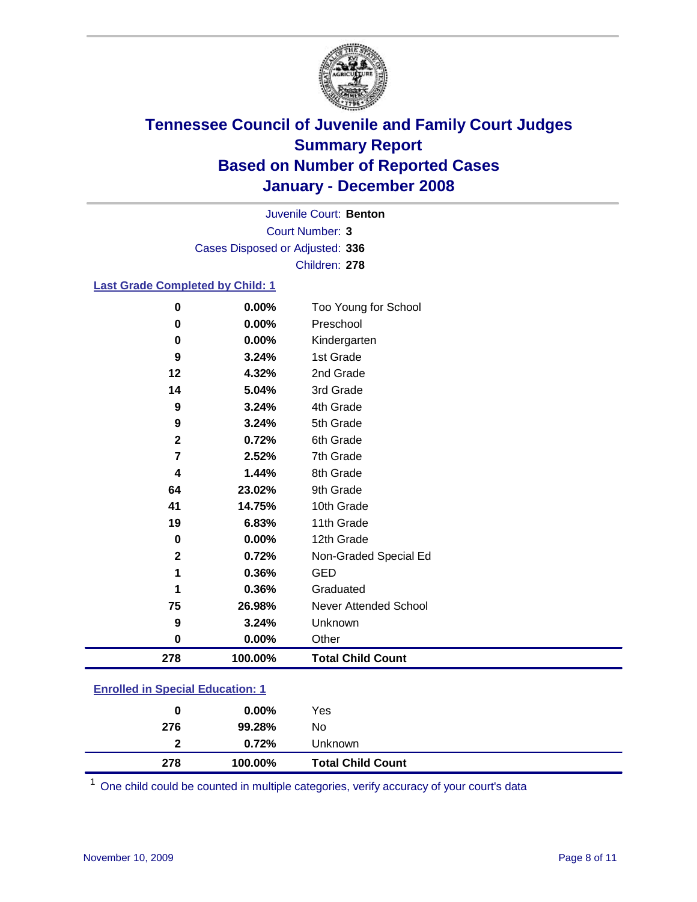

Court Number: **3** Juvenile Court: **Benton** Cases Disposed or Adjusted: **336** Children: **278**

### **Last Grade Completed by Child: 1**

| 278              | 100.00% | <b>Total Child Count</b> |
|------------------|---------|--------------------------|
| $\bf{0}$         | 0.00%   | Other                    |
| 9                | 3.24%   | Unknown                  |
| 75               | 26.98%  | Never Attended School    |
| 1                | 0.36%   | Graduated                |
| 1                | 0.36%   | <b>GED</b>               |
| $\mathbf{2}$     | 0.72%   | Non-Graded Special Ed    |
| 0                | 0.00%   | 12th Grade               |
| 19               | 6.83%   | 11th Grade               |
| 41               | 14.75%  | 10th Grade               |
| 64               | 23.02%  | 9th Grade                |
| 4                | 1.44%   | 8th Grade                |
| 7                | 2.52%   | 7th Grade                |
| $\mathbf{2}$     | 0.72%   | 6th Grade                |
| $\boldsymbol{9}$ | 3.24%   | 5th Grade                |
| 9                | 3.24%   | 4th Grade                |
| 14               | 5.04%   | 3rd Grade                |
| 12               | 4.32%   | 2nd Grade                |
| 9                | 3.24%   | 1st Grade                |
| 0                | 0.00%   | Kindergarten             |
| 0                | 0.00%   | Preschool                |
| 0                | 0.00%   | Too Young for School     |

### **Enrolled in Special Education: 1**

<sup>1</sup> One child could be counted in multiple categories, verify accuracy of your court's data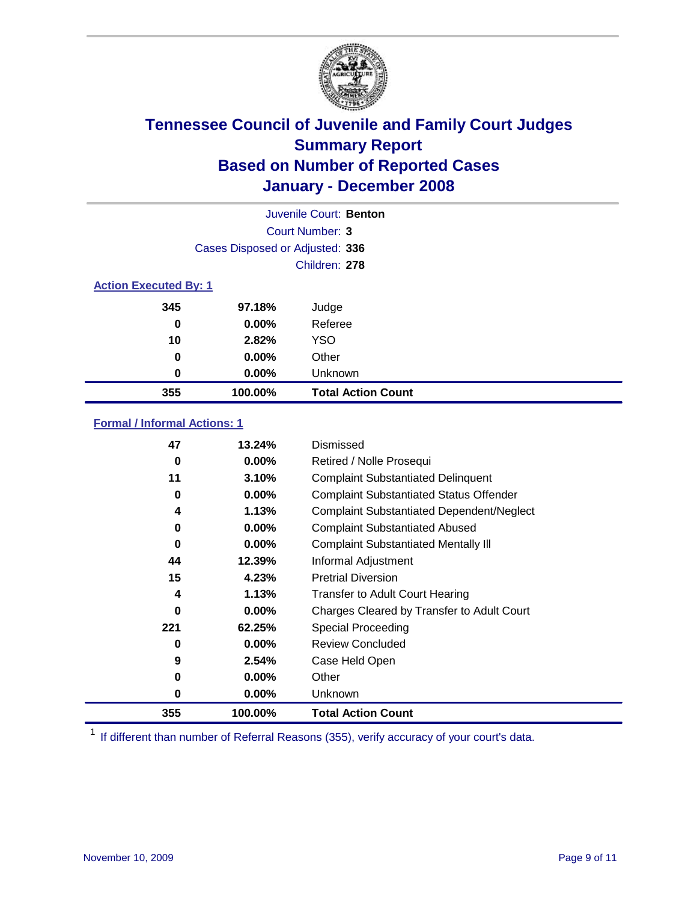

|                              |                                 | Juvenile Court: Benton    |
|------------------------------|---------------------------------|---------------------------|
|                              |                                 | Court Number: 3           |
|                              | Cases Disposed or Adjusted: 336 |                           |
|                              |                                 | Children: 278             |
| <b>Action Executed By: 1</b> |                                 |                           |
| 345                          | 97.18%                          | Judge                     |
| 0                            | $0.00\%$                        | Referee                   |
| 10                           | 2.82%                           | <b>YSO</b>                |
| 0                            | $0.00\%$                        | Other                     |
| 0                            | $0.00\%$                        | Unknown                   |
| 355                          | 100.00%                         | <b>Total Action Count</b> |

### **Formal / Informal Actions: 1**

| 47  | 13.24%   | Dismissed                                        |
|-----|----------|--------------------------------------------------|
| 0   | $0.00\%$ | Retired / Nolle Prosequi                         |
| 11  | 3.10%    | <b>Complaint Substantiated Delinquent</b>        |
| 0   | $0.00\%$ | <b>Complaint Substantiated Status Offender</b>   |
| 4   | 1.13%    | <b>Complaint Substantiated Dependent/Neglect</b> |
| 0   | $0.00\%$ | <b>Complaint Substantiated Abused</b>            |
| 0   | $0.00\%$ | <b>Complaint Substantiated Mentally III</b>      |
| 44  | 12.39%   | Informal Adjustment                              |
| 15  | 4.23%    | <b>Pretrial Diversion</b>                        |
| 4   | 1.13%    | <b>Transfer to Adult Court Hearing</b>           |
| 0   | $0.00\%$ | Charges Cleared by Transfer to Adult Court       |
| 221 | 62.25%   | Special Proceeding                               |
| 0   | $0.00\%$ | <b>Review Concluded</b>                          |
| 9   | 2.54%    | Case Held Open                                   |
| 0   | $0.00\%$ | Other                                            |
| 0   | $0.00\%$ | <b>Unknown</b>                                   |
| 355 | 100.00%  | <b>Total Action Count</b>                        |

<sup>1</sup> If different than number of Referral Reasons (355), verify accuracy of your court's data.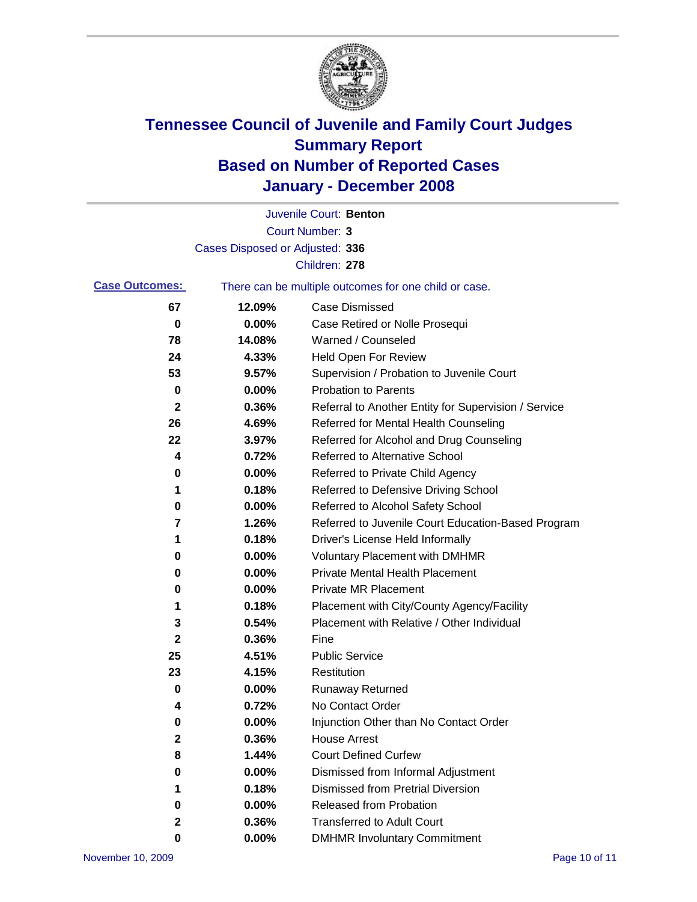

|                       |                                 | Juvenile Court: Benton                                |
|-----------------------|---------------------------------|-------------------------------------------------------|
|                       |                                 | Court Number: 3                                       |
|                       | Cases Disposed or Adjusted: 336 |                                                       |
|                       |                                 | Children: 278                                         |
| <b>Case Outcomes:</b> |                                 | There can be multiple outcomes for one child or case. |
| 67                    | 12.09%                          | <b>Case Dismissed</b>                                 |
| 0                     | 0.00%                           | Case Retired or Nolle Prosequi                        |
| 78                    | 14.08%                          | Warned / Counseled                                    |
| 24                    | 4.33%                           | <b>Held Open For Review</b>                           |
| 53                    | 9.57%                           | Supervision / Probation to Juvenile Court             |
| 0                     | 0.00%                           | <b>Probation to Parents</b>                           |
| 2                     | 0.36%                           | Referral to Another Entity for Supervision / Service  |
| 26                    | 4.69%                           | Referred for Mental Health Counseling                 |
| 22                    | 3.97%                           | Referred for Alcohol and Drug Counseling              |
| 4                     | 0.72%                           | Referred to Alternative School                        |
| 0                     | 0.00%                           | Referred to Private Child Agency                      |
| 1                     | 0.18%                           | Referred to Defensive Driving School                  |
| 0                     | 0.00%                           | Referred to Alcohol Safety School                     |
| 7                     | 1.26%                           | Referred to Juvenile Court Education-Based Program    |
| 1                     | 0.18%                           | Driver's License Held Informally                      |
| 0                     | 0.00%                           | <b>Voluntary Placement with DMHMR</b>                 |
| 0                     | 0.00%                           | <b>Private Mental Health Placement</b>                |
| 0                     | 0.00%                           | <b>Private MR Placement</b>                           |
| 1                     | 0.18%                           | Placement with City/County Agency/Facility            |
| 3                     | 0.54%                           | Placement with Relative / Other Individual            |
| 2                     | 0.36%                           | Fine                                                  |
| 25                    | 4.51%                           | <b>Public Service</b>                                 |
| 23                    | 4.15%                           | Restitution                                           |
| 0                     | 0.00%                           | <b>Runaway Returned</b>                               |
| 4                     | 0.72%                           | No Contact Order                                      |
| 0                     | 0.00%                           | Injunction Other than No Contact Order                |
| $\mathbf 2$           | 0.36%                           | <b>House Arrest</b>                                   |
| 8                     | 1.44%                           | <b>Court Defined Curfew</b>                           |
| 0                     | 0.00%                           | Dismissed from Informal Adjustment                    |
| 1                     | 0.18%                           | <b>Dismissed from Pretrial Diversion</b>              |
| 0                     | 0.00%                           | Released from Probation                               |
| 2                     | 0.36%                           | <b>Transferred to Adult Court</b>                     |
| 0                     | $0.00\%$                        | <b>DMHMR Involuntary Commitment</b>                   |